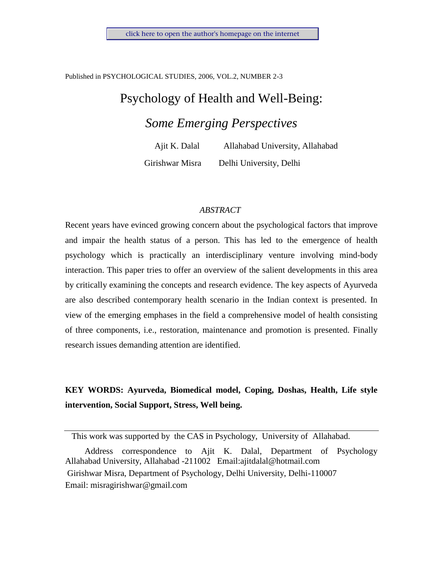Published in PSYCHOLOGICAL STUDIES, 2006, VOL.2, NUMBER 2-3

# Psychology of Health and Well-Being:

# *Some Emerging Perspectives*

Ajit K. Dalal Allahabad University, Allahabad

Girishwar Misra Delhi University, Delhi

### *ABSTRACT*

Recent years have evinced growing concern about the psychological factors that improve and impair the health status of a person. This has led to the emergence of health psychology which is practically an interdisciplinary venture involving mind-body interaction. This paper tries to offer an overview of the salient developments in this area by critically examining the concepts and research evidence. The key aspects of Ayurveda are also described contemporary health scenario in the Indian context is presented. In view of the emerging emphases in the field a comprehensive model of health consisting of three components, i.e., restoration, maintenance and promotion is presented. Finally research issues demanding attention are identified.

# **KEY WORDS: Ayurveda, Biomedical model, Coping, Doshas, Health, Life style intervention, Social Support, Stress, Well being.**

This work was supported by the CAS in Psychology, University of Allahabad.

Address correspondence to Ajit K. Dalal, Department of Psychology Allahabad University, Allahabad -211002 Email:ajitdalal@hotmail.com Girishwar Misra, Department of Psychology, Delhi University, Delhi-110007 Email: misragirishwar@gmail.com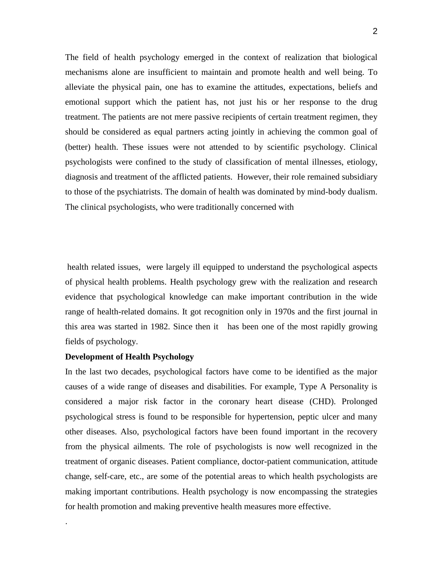The field of health psychology emerged in the context of realization that biological mechanisms alone are insufficient to maintain and promote health and well being. To alleviate the physical pain, one has to examine the attitudes, expectations, beliefs and emotional support which the patient has, not just his or her response to the drug treatment. The patients are not mere passive recipients of certain treatment regimen, they should be considered as equal partners acting jointly in achieving the common goal of (better) health. These issues were not attended to by scientific psychology. Clinical psychologists were confined to the study of classification of mental illnesses, etiology, diagnosis and treatment of the afflicted patients. However, their role remained subsidiary to those of the psychiatrists. The domain of health was dominated by mind-body dualism. The clinical psychologists, who were traditionally concerned with

health related issues, were largely ill equipped to understand the psychological aspects of physical health problems. Health psychology grew with the realization and research evidence that psychological knowledge can make important contribution in the wide range of health-related domains. It got recognition only in 1970s and the first journal in this area was started in 1982. Since then it has been one of the most rapidly growing fields of psychology.

#### **Development of Health Psychology**

.

In the last two decades, psychological factors have come to be identified as the major causes of a wide range of diseases and disabilities. For example, Type A Personality is considered a major risk factor in the coronary heart disease (CHD). Prolonged psychological stress is found to be responsible for hypertension, peptic ulcer and many other diseases. Also, psychological factors have been found important in the recovery from the physical ailments. The role of psychologists is now well recognized in the treatment of organic diseases. Patient compliance, doctor-patient communication, attitude change, self-care, etc., are some of the potential areas to which health psychologists are making important contributions. Health psychology is now encompassing the strategies for health promotion and making preventive health measures more effective.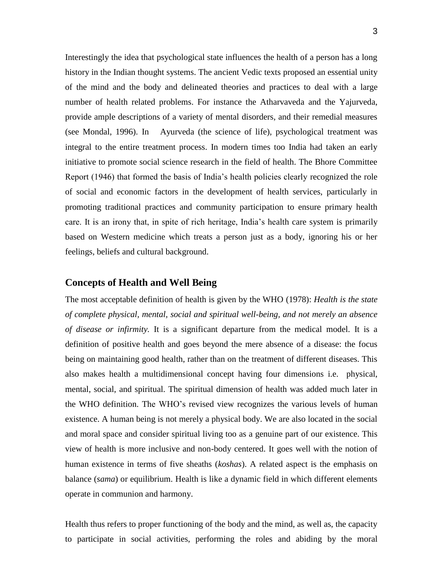Interestingly the idea that psychological state influences the health of a person has a long history in the Indian thought systems. The ancient Vedic texts proposed an essential unity of the mind and the body and delineated theories and practices to deal with a large number of health related problems. For instance the Atharvaveda and the Yajurveda, provide ample descriptions of a variety of mental disorders, and their remedial measures (see Mondal, 1996). In Ayurveda (the science of life), psychological treatment was integral to the entire treatment process. In modern times too India had taken an early initiative to promote social science research in the field of health. The Bhore Committee Report (1946) that formed the basis of India"s health policies clearly recognized the role of social and economic factors in the development of health services, particularly in promoting traditional practices and community participation to ensure primary health care. It is an irony that, in spite of rich heritage, India"s health care system is primarily based on Western medicine which treats a person just as a body, ignoring his or her feelings, beliefs and cultural background.

### **Concepts of Health and Well Being**

The most acceptable definition of health is given by the WHO (1978): *Health is the state of complete physical, mental, social and spiritual well-being, and not merely an absence of disease or infirmity.* It is a significant departure from the medical model. It is a definition of positive health and goes beyond the mere absence of a disease: the focus being on maintaining good health, rather than on the treatment of different diseases. This also makes health a multidimensional concept having four dimensions i.e. physical, mental, social, and spiritual. The spiritual dimension of health was added much later in the WHO definition. The WHO"s revised view recognizes the various levels of human existence. A human being is not merely a physical body. We are also located in the social and moral space and consider spiritual living too as a genuine part of our existence. This view of health is more inclusive and non-body centered. It goes well with the notion of human existence in terms of five sheaths (*koshas*). A related aspect is the emphasis on balance (*sama*) or equilibrium. Health is like a dynamic field in which different elements operate in communion and harmony.

Health thus refers to proper functioning of the body and the mind, as well as, the capacity to participate in social activities, performing the roles and abiding by the moral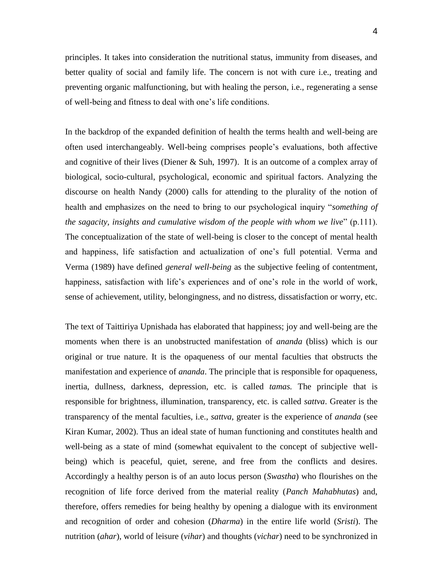principles. It takes into consideration the nutritional status, immunity from diseases, and better quality of social and family life. The concern is not with cure i.e., treating and preventing organic malfunctioning, but with healing the person, i.e., regenerating a sense of well-being and fitness to deal with one"s life conditions.

In the backdrop of the expanded definition of health the terms health and well-being are often used interchangeably. Well-being comprises people"s evaluations, both affective and cognitive of their lives (Diener & Suh, 1997). It is an outcome of a complex array of biological, socio-cultural, psychological, economic and spiritual factors. Analyzing the discourse on health Nandy (2000) calls for attending to the plurality of the notion of health and emphasizes on the need to bring to our psychological inquiry "*something of the sagacity, insights and cumulative wisdom of the people with whom we live*" (p.111). The conceptualization of the state of well-being is closer to the concept of mental health and happiness, life satisfaction and actualization of one"s full potential. Verma and Verma (1989) have defined *general well-being* as the subjective feeling of contentment, happiness, satisfaction with life's experiences and of one's role in the world of work, sense of achievement, utility, belongingness, and no distress, dissatisfaction or worry, etc.

The text of Taittiriya Upnishada has elaborated that happiness; joy and well-being are the moments when there is an unobstructed manifestation of *ananda* (bliss) which is our original or true nature. It is the opaqueness of our mental faculties that obstructs the manifestation and experience of *ananda*. The principle that is responsible for opaqueness, inertia, dullness, darkness, depression, etc. is called *tamas.* The principle that is responsible for brightness, illumination, transparency, etc. is called *sattva*. Greater is the transparency of the mental faculties, i.e., *sattva*, greater is the experience of *ananda* (see Kiran Kumar, 2002). Thus an ideal state of human functioning and constitutes health and well-being as a state of mind (somewhat equivalent to the concept of subjective wellbeing) which is peaceful, quiet, serene, and free from the conflicts and desires. Accordingly a healthy person is of an auto locus person (*Swastha*) who flourishes on the recognition of life force derived from the material reality (*Panch Mahabhutas*) and, therefore, offers remedies for being healthy by opening a dialogue with its environment and recognition of order and cohesion (*Dharma*) in the entire life world (*Sristi*). The nutrition (*ahar*), world of leisure (*vihar*) and thoughts (*vichar*) need to be synchronized in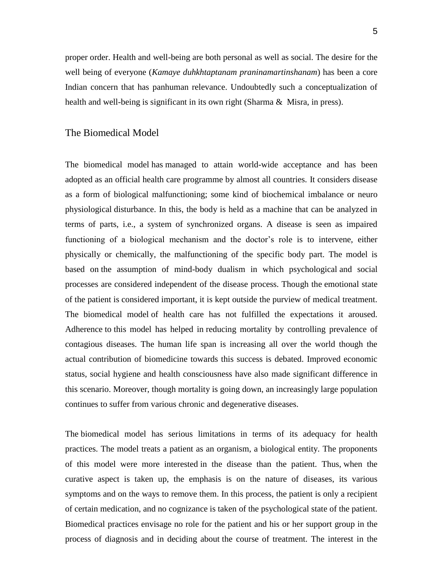proper order. Health and well-being are both personal as well as social. The desire for the well being of everyone (*Kamaye duhkhtaptanam praninamartinshanam*) has been a core Indian concern that has panhuman relevance. Undoubtedly such a conceptualization of health and well-being is significant in its own right (Sharma & Misra, in press).

### The Biomedical Model

The biomedical model has managed to attain world-wide acceptance and has been adopted as an official health care programme by almost all countries. It considers disease as a form of biological malfunctioning; some kind of biochemical imbalance or neuro physiological disturbance. In this, the body is held as a machine that can be analyzed in terms of parts, i.e., a system of synchronized organs. A disease is seen as impaired functioning of a biological mechanism and the doctor's role is to intervene, either physically or chemically, the malfunctioning of the specific body part. The model is based on the assumption of mind-body dualism in which psychological and social processes are considered independent of the disease process. Though the emotional state of the patient is considered important, it is kept outside the purview of medical treatment. The biomedical model of health care has not fulfilled the expectations it aroused. Adherence to this model has helped in reducing mortality by controlling prevalence of contagious diseases. The human life span is increasing all over the world though the actual contribution of biomedicine towards this success is debated. Improved economic status, social hygiene and health consciousness have also made significant difference in this scenario. Moreover, though mortality is going down, an increasingly large population continues to suffer from various chronic and degenerative diseases.

The biomedical model has serious limitations in terms of its adequacy for health practices. The model treats a patient as an organism, a biological entity. The proponents of this model were more interested in the disease than the patient. Thus, when the curative aspect is taken up, the emphasis is on the nature of diseases, its various symptoms and on the ways to remove them. In this process, the patient is only a recipient of certain medication, and no cognizance is taken of the psychological state of the patient. Biomedical practices envisage no role for the patient and his or her support group in the process of diagnosis and in deciding about the course of treatment. The interest in the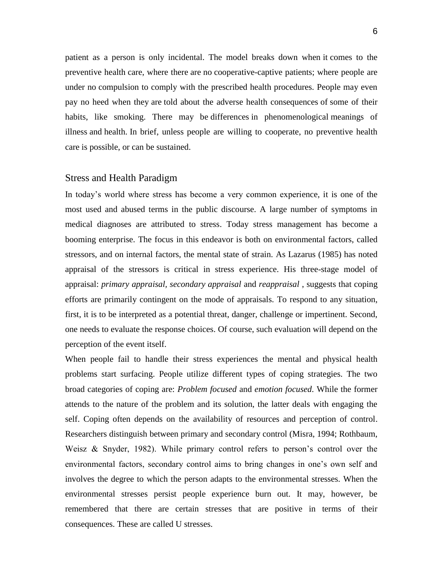patient as a person is only incidental. The model breaks down when it comes to the preventive health care, where there are no cooperative-captive patients; where people are under no compulsion to comply with the prescribed health procedures. People may even pay no heed when they are told about the adverse health consequences of some of their habits, like smoking. There may be differences in phenomenological meanings of illness and health. In brief, unless people are willing to cooperate, no preventive health care is possible, or can be sustained.

#### Stress and Health Paradigm

In today"s world where stress has become a very common experience, it is one of the most used and abused terms in the public discourse. A large number of symptoms in medical diagnoses are attributed to stress. Today stress management has become a booming enterprise. The focus in this endeavor is both on environmental factors, called stressors, and on internal factors, the mental state of strain. As Lazarus (1985) has noted appraisal of the stressors is critical in stress experience. His three-stage model of appraisal: *primary appraisal, secondary appraisal* and *reappraisal* , suggests that coping efforts are primarily contingent on the mode of appraisals. To respond to any situation, first, it is to be interpreted as a potential threat, danger, challenge or impertinent. Second, one needs to evaluate the response choices. Of course, such evaluation will depend on the perception of the event itself.

When people fail to handle their stress experiences the mental and physical health problems start surfacing. People utilize different types of coping strategies. The two broad categories of coping are: *Problem focused* and *emotion focused*. While the former attends to the nature of the problem and its solution, the latter deals with engaging the self. Coping often depends on the availability of resources and perception of control. Researchers distinguish between primary and secondary control (Misra, 1994; Rothbaum, Weisz  $\&$  Snyder, 1982). While primary control refers to person's control over the environmental factors, secondary control aims to bring changes in one"s own self and involves the degree to which the person adapts to the environmental stresses. When the environmental stresses persist people experience burn out. It may, however, be remembered that there are certain stresses that are positive in terms of their consequences. These are called U stresses.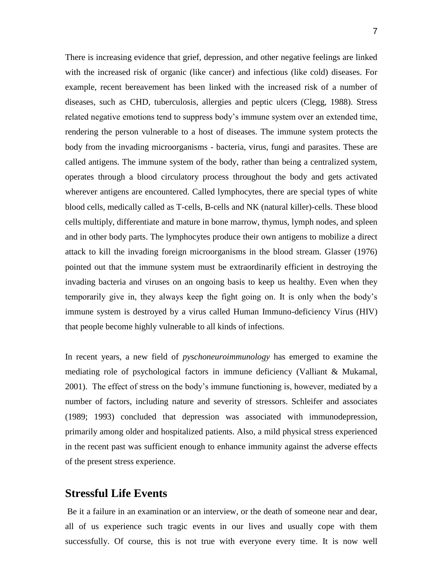There is increasing evidence that grief, depression, and other negative feelings are linked with the increased risk of organic (like cancer) and infectious (like cold) diseases. For example, recent bereavement has been linked with the increased risk of a number of diseases, such as CHD, tuberculosis, allergies and peptic ulcers (Clegg, 1988). Stress related negative emotions tend to suppress body"s immune system over an extended time,

rendering the person vulnerable to a host of diseases. The immune system protects the body from the invading microorganisms - bacteria, virus, fungi and parasites. These are called antigens. The immune system of the body, rather than being a centralized system, operates through a blood circulatory process throughout the body and gets activated wherever antigens are encountered. Called lymphocytes, there are special types of white blood cells, medically called as T-cells, B-cells and NK (natural killer)-cells. These blood cells multiply, differentiate and mature in bone marrow, thymus, lymph nodes, and spleen and in other body parts. The lymphocytes produce their own antigens to mobilize a direct attack to kill the invading foreign microorganisms in the blood stream. Glasser (1976) pointed out that the immune system must be extraordinarily efficient in destroying the invading bacteria and viruses on an ongoing basis to keep us healthy. Even when they temporarily give in, they always keep the fight going on. It is only when the body"s immune system is destroyed by a virus called Human Immuno-deficiency Virus (HIV) that people become highly vulnerable to all kinds of infections.

In recent years, a new field of *pyschoneuroimmunology* has emerged to examine the mediating role of psychological factors in immune deficiency (Valliant & Mukamal, 2001). The effect of stress on the body"s immune functioning is, however, mediated by a number of factors, including nature and severity of stressors. Schleifer and associates (1989; 1993) concluded that depression was associated with immunodepression, primarily among older and hospitalized patients. Also, a mild physical stress experienced in the recent past was sufficient enough to enhance immunity against the adverse effects of the present stress experience.

### **Stressful Life Events**

Be it a failure in an examination or an interview, or the death of someone near and dear, all of us experience such tragic events in our lives and usually cope with them successfully. Of course, this is not true with everyone every time. It is now well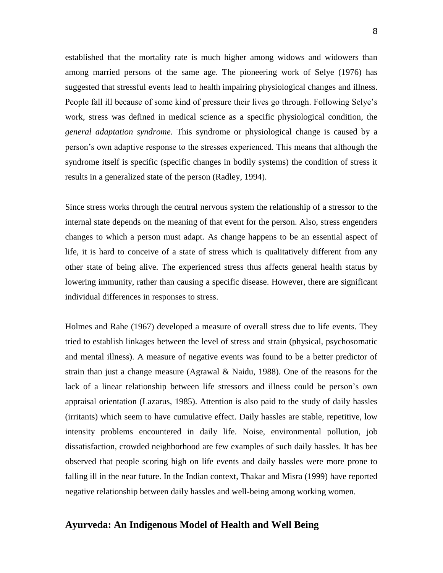established that the mortality rate is much higher among widows and widowers than among married persons of the same age. The pioneering work of Selye (1976) has suggested that stressful events lead to health impairing physiological changes and illness. People fall ill because of some kind of pressure their lives go through. Following Selye"s work, stress was defined in medical science as a specific physiological condition, the *general adaptation syndrome.* This syndrome or physiological change is caused by a person"s own adaptive response to the stresses experienced. This means that although the syndrome itself is specific (specific changes in bodily systems) the condition of stress it results in a generalized state of the person (Radley, 1994).

Since stress works through the central nervous system the relationship of a stressor to the internal state depends on the meaning of that event for the person. Also, stress engenders changes to which a person must adapt. As change happens to be an essential aspect of life, it is hard to conceive of a state of stress which is qualitatively different from any other state of being alive. The experienced stress thus affects general health status by lowering immunity, rather than causing a specific disease. However, there are significant individual differences in responses to stress.

Holmes and Rahe (1967) developed a measure of overall stress due to life events. They tried to establish linkages between the level of stress and strain (physical, psychosomatic and mental illness). A measure of negative events was found to be a better predictor of strain than just a change measure (Agrawal & Naidu, 1988). One of the reasons for the lack of a linear relationship between life stressors and illness could be person"s own appraisal orientation (Lazarus, 1985). Attention is also paid to the study of daily hassles (irritants) which seem to have cumulative effect. Daily hassles are stable, repetitive, low intensity problems encountered in daily life. Noise, environmental pollution, job dissatisfaction, crowded neighborhood are few examples of such daily hassles. It has bee observed that people scoring high on life events and daily hassles were more prone to falling ill in the near future. In the Indian context, Thakar and Misra (1999) have reported negative relationship between daily hassles and well-being among working women.

### **Ayurveda: An Indigenous Model of Health and Well Being**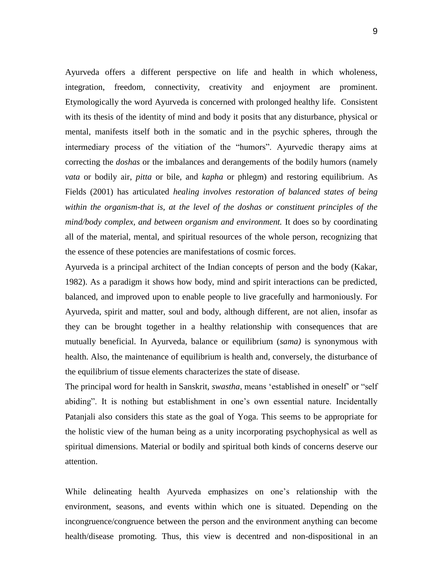Ayurveda offers a different perspective on life and health in which wholeness, integration, freedom, connectivity, creativity and enjoyment are prominent. Etymologically the word Ayurveda is concerned with prolonged healthy life. Consistent with its thesis of the identity of mind and body it posits that any disturbance, physical or mental, manifests itself both in the somatic and in the psychic spheres, through the intermediary process of the vitiation of the "humors". Ayurvedic therapy aims at correcting the *doshas* or the imbalances and derangements of the bodily humors (namely *vata* or bodily air, *pitta* or bile, and *kapha* or phlegm) and restoring equilibrium. As Fields (2001) has articulated *healing involves restoration of balanced states of being within the organism-that is, at the level of the doshas or constituent principles of the mind/body complex, and between organism and environment.* It does so by coordinating all of the material, mental, and spiritual resources of the whole person, recognizing that the essence of these potencies are manifestations of cosmic forces.

Ayurveda is a principal architect of the Indian concepts of person and the body (Kakar, 1982). As a paradigm it shows how body, mind and spirit interactions can be predicted, balanced, and improved upon to enable people to live gracefully and harmoniously. For Ayurveda, spirit and matter, soul and body, although different, are not alien, insofar as they can be brought together in a healthy relationship with consequences that are mutually beneficial. In Ayurveda, balance or equilibrium (*sama)* is synonymous with health. Also, the maintenance of equilibrium is health and, conversely, the disturbance of the equilibrium of tissue elements characterizes the state of disease.

The principal word for health in Sanskrit, *swastha*, means "established in oneself" or "self abiding". It is nothing but establishment in one"s own essential nature. Incidentally Patanjali also considers this state as the goal of Yoga. This seems to be appropriate for the holistic view of the human being as a unity incorporating psychophysical as well as spiritual dimensions. Material or bodily and spiritual both kinds of concerns deserve our attention.

While delineating health Ayurveda emphasizes on one"s relationship with the environment, seasons, and events within which one is situated. Depending on the incongruence/congruence between the person and the environment anything can become health/disease promoting. Thus, this view is decentred and non-dispositional in an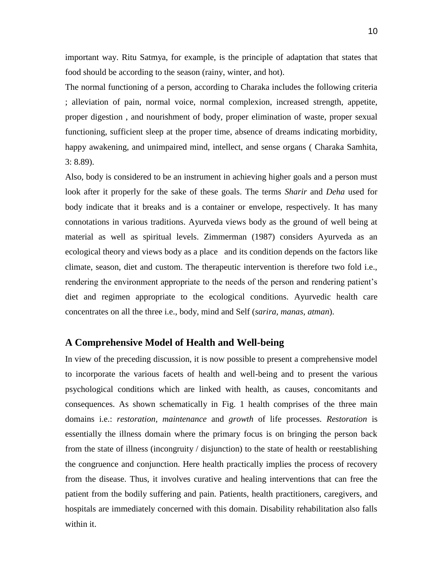important way. Ritu Satmya, for example, is the principle of adaptation that states that food should be according to the season (rainy, winter, and hot).

The normal functioning of a person, according to Charaka includes the following criteria ; alleviation of pain, normal voice, normal complexion, increased strength, appetite, proper digestion , and nourishment of body, proper elimination of waste, proper sexual functioning, sufficient sleep at the proper time, absence of dreams indicating morbidity, happy awakening, and unimpaired mind, intellect, and sense organs ( Charaka Samhita, 3: 8.89).

Also, body is considered to be an instrument in achieving higher goals and a person must look after it properly for the sake of these goals. The terms *Sharir* and *Deha* used for body indicate that it breaks and is a container or envelope, respectively. It has many connotations in various traditions. Ayurveda views body as the ground of well being at material as well as spiritual levels. Zimmerman (1987) considers Ayurveda as an ecological theory and views body as a place and its condition depends on the factors like climate, season, diet and custom. The therapeutic intervention is therefore two fold i.e., rendering the environment appropriate to the needs of the person and rendering patient"s diet and regimen appropriate to the ecological conditions. Ayurvedic health care concentrates on all the three i.e., body, mind and Self (*sarira, manas, atman*).

### **A Comprehensive Model of Health and Well-being**

In view of the preceding discussion, it is now possible to present a comprehensive model to incorporate the various facets of health and well-being and to present the various psychological conditions which are linked with health, as causes, concomitants and consequences. As shown schematically in Fig. 1 health comprises of the three main domains i.e.: *restoration, maintenance* and *growth* of life processes. *Restoration* is essentially the illness domain where the primary focus is on bringing the person back from the state of illness (incongruity / disjunction) to the state of health or reestablishing the congruence and conjunction. Here health practically implies the process of recovery from the disease. Thus, it involves curative and healing interventions that can free the patient from the bodily suffering and pain. Patients, health practitioners, caregivers, and hospitals are immediately concerned with this domain. Disability rehabilitation also falls within it.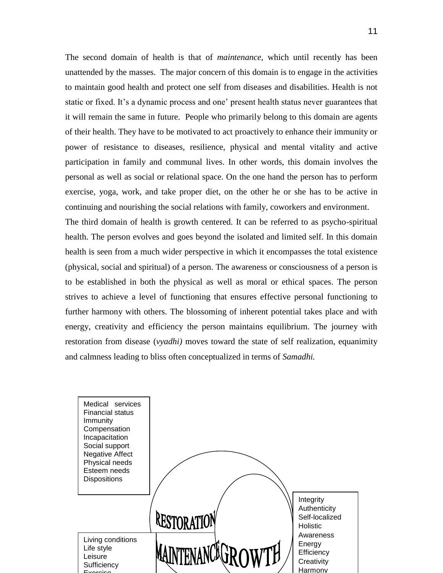The second domain of health is that of *maintenance*, which until recently has been unattended by the masses. The major concern of this domain is to engage in the activities to maintain good health and protect one self from diseases and disabilities. Health is not static or fixed. It's a dynamic process and one' present health status never guarantees that it will remain the same in future. People who primarily belong to this domain are agents of their health. They have to be motivated to act proactively to enhance their immunity or power of resistance to diseases, resilience, physical and mental vitality and active participation in family and communal lives. In other words, this domain involves the personal as well as social or relational space. On the one hand the person has to perform exercise, yoga, work, and take proper diet, on the other he or she has to be active in continuing and nourishing the social relations with family, coworkers and environment. The third domain of health is growth centered. It can be referred to as psycho-spiritual health. The person evolves and goes beyond the isolated and limited self. In this domain health is seen from a much wider perspective in which it encompasses the total existence (physical, social and spiritual) of a person. The awareness or consciousness of a person is to be established in both the physical as well as moral or ethical spaces. The person strives to achieve a level of functioning that ensures effective personal functioning to further harmony with others. The blossoming of inherent potential takes place and with energy, creativity and efficiency the person maintains equilibrium. The journey with restoration from disease (*vyadhi)* moves toward the state of self realization, equanimity and calmness leading to bliss often conceptualized in terms of *Samadhi.*

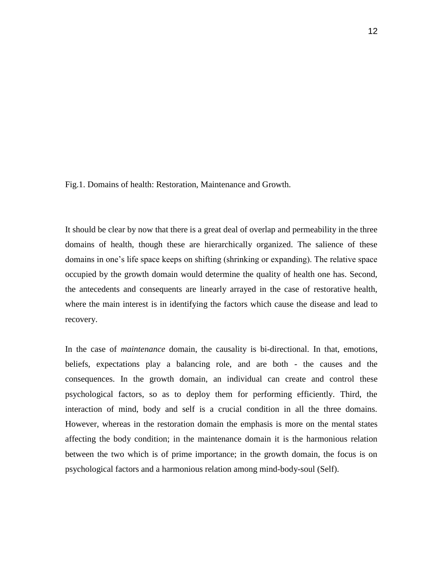Fig.1. Domains of health: Restoration, Maintenance and Growth.

It should be clear by now that there is a great deal of overlap and permeability in the three domains of health, though these are hierarchically organized. The salience of these domains in one"s life space keeps on shifting (shrinking or expanding). The relative space occupied by the growth domain would determine the quality of health one has. Second, the antecedents and consequents are linearly arrayed in the case of restorative health, where the main interest is in identifying the factors which cause the disease and lead to recovery.

In the case of *maintenance* domain, the causality is bi-directional. In that, emotions, beliefs, expectations play a balancing role, and are both - the causes and the consequences. In the growth domain, an individual can create and control these psychological factors, so as to deploy them for performing efficiently. Third, the interaction of mind, body and self is a crucial condition in all the three domains. However, whereas in the restoration domain the emphasis is more on the mental states affecting the body condition; in the maintenance domain it is the harmonious relation between the two which is of prime importance; in the growth domain, the focus is on psychological factors and a harmonious relation among mind-body-soul (Self).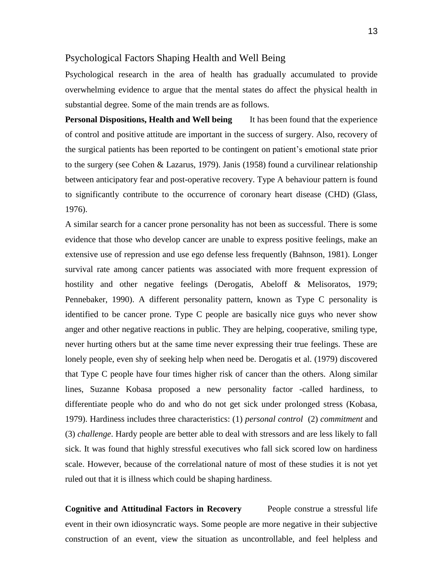### Psychological Factors Shaping Health and Well Being

Psychological research in the area of health has gradually accumulated to provide overwhelming evidence to argue that the mental states do affect the physical health in substantial degree. Some of the main trends are as follows.

**Personal Dispositions, Health and Well being** It has been found that the experience of control and positive attitude are important in the success of surgery. Also, recovery of the surgical patients has been reported to be contingent on patient"s emotional state prior to the surgery (see Cohen & Lazarus, 1979). Janis (1958) found a curvilinear relationship between anticipatory fear and post-operative recovery. Type A behaviour pattern is found to significantly contribute to the occurrence of coronary heart disease (CHD) (Glass, 1976).

A similar search for a cancer prone personality has not been as successful. There is some evidence that those who develop cancer are unable to express positive feelings, make an extensive use of repression and use ego defense less frequently (Bahnson, 1981). Longer survival rate among cancer patients was associated with more frequent expression of hostility and other negative feelings (Derogatis, Abeloff & Melisoratos, 1979; Pennebaker, 1990). A different personality pattern, known as Type C personality is identified to be cancer prone. Type C people are basically nice guys who never show anger and other negative reactions in public. They are helping, cooperative, smiling type, never hurting others but at the same time never expressing their true feelings. These are lonely people, even shy of seeking help when need be. Derogatis et al. (1979) discovered that Type C people have four times higher risk of cancer than the others. Along similar lines, Suzanne Kobasa proposed a new personality factor -called hardiness, to differentiate people who do and who do not get sick under prolonged stress (Kobasa, 1979). Hardiness includes three characteristics: (1) *personal control* (2) *commitment* and (3) *challenge*. Hardy people are better able to deal with stressors and are less likely to fall sick. It was found that highly stressful executives who fall sick scored low on hardiness scale. However, because of the correlational nature of most of these studies it is not yet ruled out that it is illness which could be shaping hardiness.

**Cognitive and Attitudinal Factors in Recovery** People construe a stressful life event in their own idiosyncratic ways. Some people are more negative in their subjective construction of an event, view the situation as uncontrollable, and feel helpless and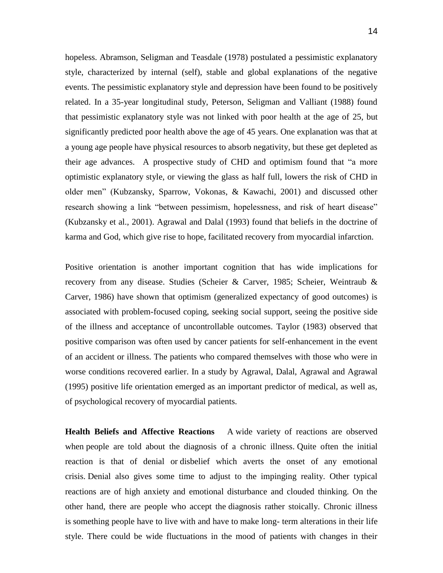hopeless. Abramson, Seligman and Teasdale (1978) postulated a pessimistic explanatory style, characterized by internal (self), stable and global explanations of the negative events. The pessimistic explanatory style and depression have been found to be positively related. In a 35-year longitudinal study, Peterson, Seligman and Valliant (1988) found that pessimistic explanatory style was not linked with poor health at the age of 25, but significantly predicted poor health above the age of 45 years. One explanation was that at a young age people have physical resources to absorb negativity, but these get depleted as their age advances. A prospective study of CHD and optimism found that "a more optimistic explanatory style, or viewing the glass as half full, lowers the risk of CHD in older men" [\(Kubzansky, Sparrow, Vokonas, & Kawachi, 2001\)](http://spider.apa.org/ftdocs/amp/2004/january/amp59129.html#c52) and discussed other research showing a link "between pessimism, hopelessness, and risk of heart disease" [\(Kubzansky et al., 2001\)](http://spider.apa.org/ftdocs/amp/2004/january/amp59129.html#c52). Agrawal and Dalal (1993) found that beliefs in the doctrine of karma and God, which give rise to hope, facilitated recovery from myocardial infarction.

Positive orientation is another important cognition that has wide implications for recovery from any disease. Studies (Scheier & Carver, 1985; Scheier, Weintraub & Carver, 1986) have shown that optimism (generalized expectancy of good outcomes) is associated with problem-focused coping, seeking social support, seeing the positive side of the illness and acceptance of uncontrollable outcomes. Taylor (1983) observed that positive comparison was often used by cancer patients for self-enhancement in the event of an accident or illness. The patients who compared themselves with those who were in worse conditions recovered earlier. In a study by Agrawal, Dalal, Agrawal and Agrawal (1995) positive life orientation emerged as an important predictor of medical, as well as, of psychological recovery of myocardial patients.

**Health Beliefs and Affective Reactions** A wide variety of reactions are observed when people are told about the diagnosis of a chronic illness. Quite often the initial reaction is that of denial or disbelief which averts the onset of any emotional crisis. Denial also gives some time to adjust to the impinging reality. Other typical reactions are of high anxiety and emotional disturbance and clouded thinking. On the other hand, there are people who accept the diagnosis rather stoically. Chronic illness is something people have to live with and have to make long- term alterations in their life style. There could be wide fluctuations in the mood of patients with changes in their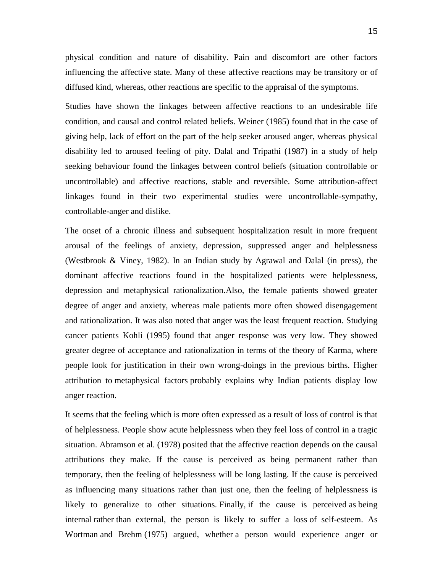physical condition and nature of disability. Pain and discomfort are other factors influencing the affective state. Many of these affective reactions may be transitory or of diffused kind, whereas, other reactions are specific to the appraisal of the symptoms.

Studies have shown the linkages between affective reactions to an undesirable life condition, and causal and control related beliefs. Weiner (1985) found that in the case of giving help, lack of effort on the part of the help seeker aroused anger, whereas physical disability led to aroused feeling of pity. Dalal and Tripathi (1987) in a study of help seeking behaviour found the linkages between control beliefs (situation controllable or uncontrollable) and affective reactions, stable and reversible. Some attribution-affect linkages found in their two experimental studies were uncontrollable-sympathy, controllable-anger and dislike.

The onset of a chronic illness and subsequent hospitalization result in more frequent arousal of the feelings of anxiety, depression, suppressed anger and helplessness (Westbrook & Viney, 1982). In an Indian study by Agrawal and Dalal (in press), the dominant affective reactions found in the hospitalized patients were helplessness, depression and metaphysical rationalization.Also, the female patients showed greater degree of anger and anxiety, whereas male patients more often showed disengagement and rationalization. It was also noted that anger was the least frequent reaction. Studying cancer patients Kohli (1995) found that anger response was very low. They showed greater degree of acceptance and rationalization in terms of the theory of Karma, where people look for justification in their own wrong-doings in the previous births. Higher attribution to metaphysical factors probably explains why Indian patients display low anger reaction.

It seems that the feeling which is more often expressed as a result of loss of control is that of helplessness. People show acute helplessness when they feel loss of control in a tragic situation. Abramson et al. (1978) posited that the affective reaction depends on the causal attributions they make. If the cause is perceived as being permanent rather than temporary, then the feeling of helplessness will be long lasting. If the cause is perceived as influencing many situations rather than just one, then the feeling of helplessness is likely to generalize to other situations. Finally, if the cause is perceived as being internal rather than external, the person is likely to suffer a loss of self-esteem. As Wortman and Brehm (1975) argued, whether a person would experience anger or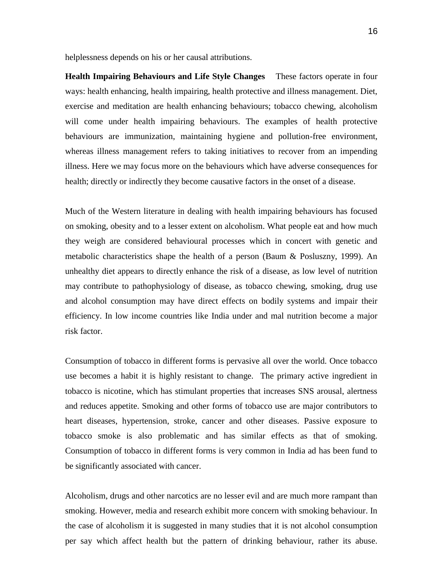helplessness depends on his or her causal attributions.

**Health Impairing Behaviours and Life Style Changes** These factors operate in four ways: health enhancing, health impairing, health protective and illness management. Diet, exercise and meditation are health enhancing behaviours; tobacco chewing, alcoholism will come under health impairing behaviours. The examples of health protective behaviours are immunization, maintaining hygiene and pollution-free environment, whereas illness management refers to taking initiatives to recover from an impending illness. Here we may focus more on the behaviours which have adverse consequences for health; directly or indirectly they become causative factors in the onset of a disease.

Much of the Western literature in dealing with health impairing behaviours has focused on smoking, obesity and to a lesser extent on alcoholism. What people eat and how much they weigh are considered behavioural processes which in concert with genetic and metabolic characteristics shape the health of a person (Baum & Posluszny, 1999). An unhealthy diet appears to directly enhance the risk of a disease, as low level of nutrition may contribute to pathophysiology of disease, as tobacco chewing, smoking, drug use and alcohol consumption may have direct effects on bodily systems and impair their efficiency. In low income countries like India under and mal nutrition become a major risk factor.

Consumption of tobacco in different forms is pervasive all over the world. Once tobacco use becomes a habit it is highly resistant to change. The primary active ingredient in tobacco is nicotine, which has stimulant properties that increases SNS arousal, alertness and reduces appetite. Smoking and other forms of tobacco use are major contributors to heart diseases, hypertension, stroke, cancer and other diseases. Passive exposure to tobacco smoke is also problematic and has similar effects as that of smoking. Consumption of tobacco in different forms is very common in India ad has been fund to be significantly associated with cancer.

Alcoholism, drugs and other narcotics are no lesser evil and are much more rampant than smoking. However, media and research exhibit more concern with smoking behaviour. In the case of alcoholism it is suggested in many studies that it is not alcohol consumption per say which affect health but the pattern of drinking behaviour, rather its abuse.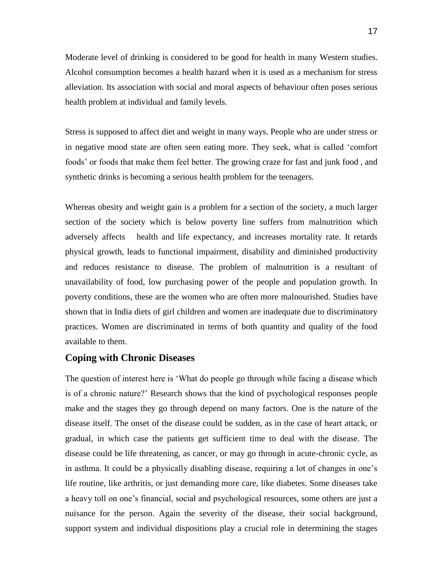Moderate level of drinking is considered to be good for health in many Western studies. Alcohol consumption becomes a health hazard when it is used as a mechanism for stress alleviation. Its association with social and moral aspects of behaviour often poses serious health problem at individual and family levels.

Stress is supposed to affect diet and weight in many ways. People who are under stress or in negative mood state are often seen eating more. They seek, what is called "comfort foods" or foods that make them feel better. The growing craze for fast and junk food , and synthetic drinks is becoming a serious health problem for the teenagers.

Whereas obesity and weight gain is a problem for a section of the society, a much larger section of the society which is below poverty line suffers from malnutrition which adversely affects health and life expectancy, and increases mortality rate. It retards physical growth, leads to functional impairment, disability and diminished productivity and reduces resistance to disease. The problem of malnutrition is a resultant of unavailability of food, low purchasing power of the people and population growth. In poverty conditions, these are the women who are often more malnourished. Studies have shown that in India diets of girl children and women are inadequate due to discriminatory practices. Women are discriminated in terms of both quantity and quality of the food available to them.

### **Coping with Chronic Diseases**

The question of interest here is "What do people go through while facing a disease which is of a chronic nature?" Research shows that the kind of psychological responses people make and the stages they go through depend on many factors. One is the nature of the disease itself. The onset of the disease could be sudden, as in the case of heart attack, or gradual, in which case the patients get sufficient time to deal with the disease. The disease could be life threatening, as cancer, or may go through in acute-chronic cycle, as in asthma. It could be a physically disabling disease, requiring a lot of changes in one"s life routine, like arthritis, or just demanding more care, like diabetes. Some diseases take a heavy toll on one"s financial, social and psychological resources, some others are just a nuisance for the person. Again the severity of the disease, their social background, support system and individual dispositions play a crucial role in determining the stages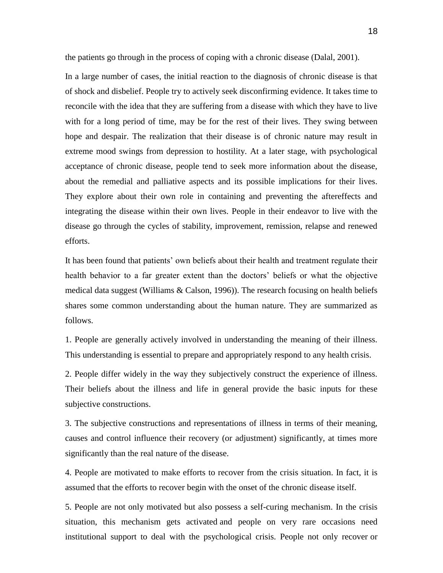the patients go through in the process of coping with a chronic disease (Dalal, 2001).

In a large number of cases, the initial reaction to the diagnosis of chronic disease is that of shock and disbelief. People try to actively seek disconfirming evidence. It takes time to reconcile with the idea that they are suffering from a disease with which they have to live with for a long period of time, may be for the rest of their lives. They swing between hope and despair. The realization that their disease is of chronic nature may result in extreme mood swings from depression to hostility. At a later stage, with psychological acceptance of chronic disease, people tend to seek more information about the disease, about the remedial and palliative aspects and its possible implications for their lives. They explore about their own role in containing and preventing the aftereffects and integrating the disease within their own lives. People in their endeavor to live with the disease go through the cycles of stability, improvement, remission, relapse and renewed efforts.

It has been found that patients" own beliefs about their health and treatment regulate their health behavior to a far greater extent than the doctors' beliefs or what the objective medical data suggest (Williams & Calson, 1996)). The research focusing on health beliefs shares some common understanding about the human nature. They are summarized as follows.

1. People are generally actively involved in understanding the meaning of their illness. This understanding is essential to prepare and appropriately respond to any health crisis.

2. People differ widely in the way they subjectively construct the experience of illness. Their beliefs about the illness and life in general provide the basic inputs for these subjective constructions.

3. The subjective constructions and representations of illness in terms of their meaning, causes and control influence their recovery (or adjustment) significantly, at times more significantly than the real nature of the disease.

4. People are motivated to make efforts to recover from the crisis situation. In fact, it is assumed that the efforts to recover begin with the onset of the chronic disease itself.

5. People are not only motivated but also possess a self-curing mechanism. In the crisis situation, this mechanism gets activated and people on very rare occasions need institutional support to deal with the psychological crisis. People not only recover or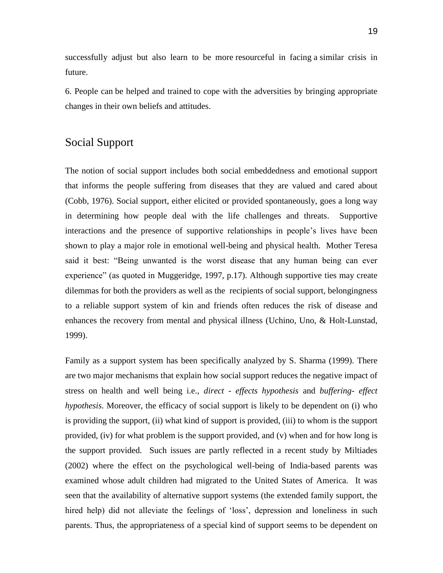successfully adjust but also learn to be more resourceful in facing a similar crisis in future.

6. People can be helped and trained to cope with the adversities by bringing appropriate changes in their own beliefs and attitudes.

## Social Support

The notion of social support includes both social embeddedness and emotional support that informs the people suffering from diseases that they are valued and cared about (Cobb, 1976). Social support, either elicited or provided spontaneously, goes a long way in determining how people deal with the life challenges and threats. Supportive interactions and the presence of supportive relationships in people"s lives have been shown to play a major role in emotional well-being and physical health. Mother Teresa said it best: "Being unwanted is the worst disease that any human being can ever experience" (as quoted in [Muggeridge, 1997,](http://spider.apa.org/ftdocs/amp/2004/january/amp59129.html#c63) p.17). Although supportive ties may create dilemmas for both the providers as well as the recipients of social support, belongingness to a reliable support system of kin and friends often reduces the risk of disease and enhances the recovery from mental and physical illness [\(Uchino, Uno, & Holt-Lunstad,](http://spider.apa.org/ftdocs/amp/2004/january/amp59129.html#c97)  [1999\)](http://spider.apa.org/ftdocs/amp/2004/january/amp59129.html#c97).

Family as a support system has been specifically analyzed by S. Sharma (1999). There are two major mechanisms that explain how social support reduces the negative impact of stress on health and well being i.e., *direct - effects hypothesis* and *buffering- effect hypothesis*. Moreover, the efficacy of social support is likely to be dependent on (i) who is providing the support, (ii) what kind of support is provided, (iii) to whom is the support provided, (iv) for what problem is the support provided, and (v) when and for how long is the support provided. Such issues are partly reflected in a recent study by Miltiades (2002) where the effect on the psychological well-being of India-based parents was examined whose adult children had migrated to the United States of America. It was seen that the availability of alternative support systems (the extended family support, the hired help) did not alleviate the feelings of 'loss', depression and loneliness in such parents. Thus, the appropriateness of a special kind of support seems to be dependent on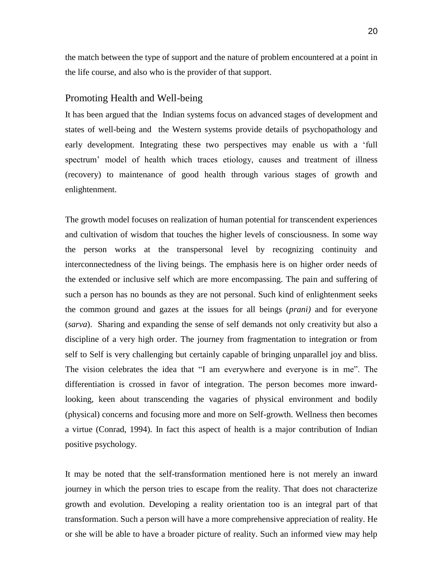the match between the type of support and the nature of problem encountered at a point in the life course, and also who is the provider of that support.

### Promoting Health and Well-being

It has been argued that the Indian systems focus on advanced stages of development and states of well-being and the Western systems provide details of psychopathology and early development. Integrating these two perspectives may enable us with a "full spectrum' model of health which traces etiology, causes and treatment of illness (recovery) to maintenance of good health through various stages of growth and enlightenment.

The growth model focuses on realization of human potential for transcendent experiences and cultivation of wisdom that touches the higher levels of consciousness. In some way the person works at the transpersonal level by recognizing continuity and interconnectedness of the living beings. The emphasis here is on higher order needs of the extended or inclusive self which are more encompassing. The pain and suffering of such a person has no bounds as they are not personal. Such kind of enlightenment seeks the common ground and gazes at the issues for all beings (*prani)* and for everyone (*sarva*). Sharing and expanding the sense of self demands not only creativity but also a discipline of a very high order. The journey from fragmentation to integration or from self to Self is very challenging but certainly capable of bringing unparallel joy and bliss. The vision celebrates the idea that "I am everywhere and everyone is in me". The differentiation is crossed in favor of integration. The person becomes more inwardlooking, keen about transcending the vagaries of physical environment and bodily (physical) concerns and focusing more and more on Self-growth. Wellness then becomes a virtue (Conrad, 1994). In fact this aspect of health is a major contribution of Indian positive psychology.

It may be noted that the self-transformation mentioned here is not merely an inward journey in which the person tries to escape from the reality. That does not characterize growth and evolution. Developing a reality orientation too is an integral part of that transformation. Such a person will have a more comprehensive appreciation of reality. He or she will be able to have a broader picture of reality. Such an informed view may help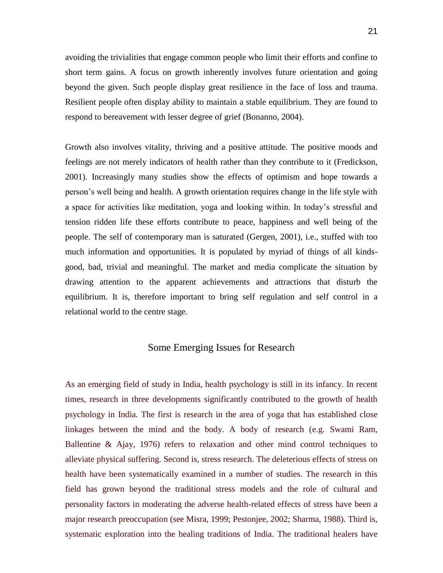avoiding the trivialities that engage common people who limit their efforts and confine to short term gains. A focus on growth inherently involves future orientation and going beyond the given. Such people display great resilience in the face of loss and trauma. Resilient people often display ability to maintain a stable equilibrium. They are found to respond to bereavement with lesser degree of grief (Bonanno, 2004).

Growth also involves vitality, thriving and a positive attitude. The positive moods and feelings are not merely indicators of health rather than they contribute to it (Fredickson, 2001). Increasingly many studies show the effects of optimism and hope towards a person"s well being and health. A growth orientation requires change in the life style with a space for activities like meditation, yoga and looking within. In today"s stressful and tension ridden life these efforts contribute to peace, happiness and well being of the people. The self of contemporary man is saturated (Gergen, 2001), i.e., stuffed with too much information and opportunities. It is populated by myriad of things of all kindsgood, bad, trivial and meaningful. The market and media complicate the situation by drawing attention to the apparent achievements and attractions that disturb the equilibrium. It is, therefore important to bring self regulation and self control in a relational world to the centre stage.

### Some Emerging Issues for Research

As an emerging field of study in India, health psychology is still in its infancy. In recent times, research in three developments significantly contributed to the growth of health psychology in India. The first is research in the area of yoga that has established close linkages between the mind and the body. A body of research (e.g. Swami Ram, Ballentine & Ajay, 1976) refers to relaxation and other mind control techniques to alleviate physical suffering. Second is, stress research. The deleterious effects of stress on health have been systematically examined in a number of studies. The research in this field has grown beyond the traditional stress models and the role of cultural and personality factors in moderating the adverse health-related effects of stress have been a major research preoccupation (see Misra, 1999; Pestonjee, 2002; Sharma, 1988). Third is, systematic exploration into the healing traditions of India. The traditional healers have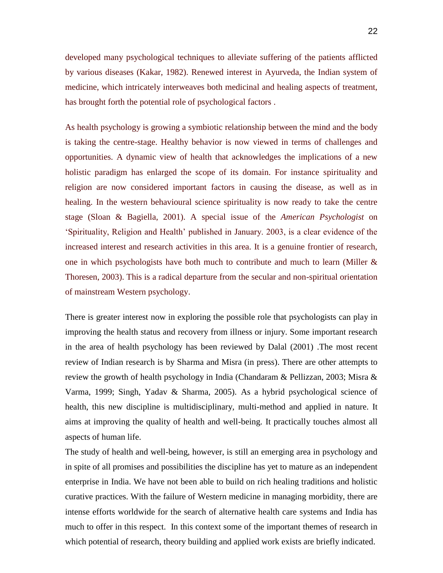developed many psychological techniques to alleviate suffering of the patients afflicted by various diseases (Kakar, 1982). Renewed interest in Ayurveda, the Indian system of medicine, which intricately interweaves both medicinal and healing aspects of treatment, has brought forth the potential role of psychological factors .

As health psychology is growing a symbiotic relationship between the mind and the body is taking the centre-stage. Healthy behavior is now viewed in terms of challenges and opportunities. A dynamic view of health that acknowledges the implications of a new holistic paradigm has enlarged the scope of its domain. For instance spirituality and religion are now considered important factors in causing the disease, as well as in healing. In the western behavioural science spirituality is now ready to take the centre stage (Sloan & Bagiella, 2001). A special issue of the *American Psychologist* on "Spirituality, Religion and Health" published in January. 2003, is a clear evidence of the increased interest and research activities in this area. It is a genuine frontier of research, one in which psychologists have both much to contribute and much to learn (Miller & Thoresen, 2003). This is a radical departure from the secular and non-spiritual orientation of mainstream Western psychology.

There is greater interest now in exploring the possible role that psychologists can play in improving the health status and recovery from illness or injury. Some important research in the area of health psychology has been reviewed by Dalal (2001) .The most recent review of Indian research is by Sharma and Misra (in press). There are other attempts to review the growth of health psychology in India (Chandaram & Pellizzan, 2003; Misra  $\&$ Varma, 1999; Singh, Yadav & Sharma, 2005). As a hybrid psychological science of health, this new discipline is multidisciplinary, multi-method and applied in nature. It aims at improving the quality of health and well-being. It practically touches almost all aspects of human life.

The study of health and well-being, however, is still an emerging area in psychology and in spite of all promises and possibilities the discipline has yet to mature as an independent enterprise in India. We have not been able to build on rich healing traditions and holistic curative practices. With the failure of Western medicine in managing morbidity, there are intense efforts worldwide for the search of alternative health care systems and India has much to offer in this respect. In this context some of the important themes of research in which potential of research, theory building and applied work exists are briefly indicated.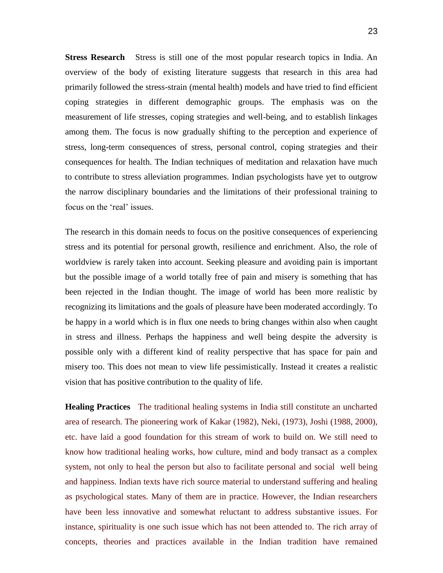**Stress Research** Stress is still one of the most popular research topics in India. An overview of the body of existing literature suggests that research in this area had primarily followed the stress-strain (mental health) models and have tried to find efficient coping strategies in different demographic groups. The emphasis was on the measurement of life stresses, coping strategies and well-being, and to establish linkages among them. The focus is now gradually shifting to the perception and experience of stress, long-term consequences of stress, personal control, coping strategies and their consequences for health. The Indian techniques of meditation and relaxation have much to contribute to stress alleviation programmes. Indian psychologists have yet to outgrow the narrow disciplinary boundaries and the limitations of their professional training to focus on the 'real' issues.

The research in this domain needs to focus on the positive consequences of experiencing stress and its potential for personal growth, resilience and enrichment. Also, the role of worldview is rarely taken into account. Seeking pleasure and avoiding pain is important but the possible image of a world totally free of pain and misery is something that has been rejected in the Indian thought. The image of world has been more realistic by recognizing its limitations and the goals of pleasure have been moderated accordingly. To be happy in a world which is in flux one needs to bring changes within also when caught in stress and illness. Perhaps the happiness and well being despite the adversity is possible only with a different kind of reality perspective that has space for pain and misery too. This does not mean to view life pessimistically. Instead it creates a realistic vision that has positive contribution to the quality of life.

**Healing Practices** The traditional healing systems in India still constitute an uncharted area of research. The pioneering work of Kakar (1982), Neki, (1973), Joshi (1988, 2000), etc. have laid a good foundation for this stream of work to build on. We still need to know how traditional healing works, how culture, mind and body transact as a complex system, not only to heal the person but also to facilitate personal and social well being and happiness. Indian texts have rich source material to understand suffering and healing as psychological states. Many of them are in practice. However, the Indian researchers have been less innovative and somewhat reluctant to address substantive issues. For instance, spirituality is one such issue which has not been attended to. The rich array of concepts, theories and practices available in the Indian tradition have remained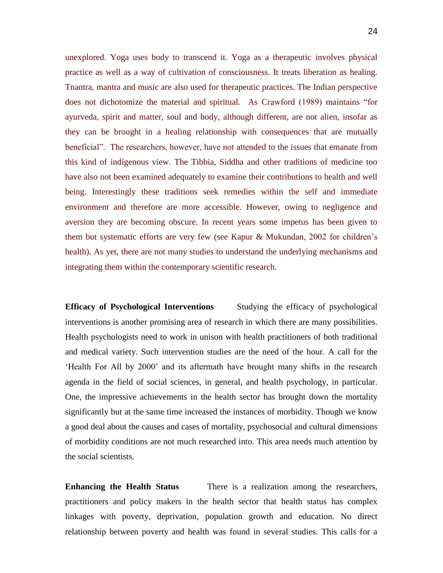unexplored. Yoga uses body to transcend it. Yoga as a therapeutic involves physical practice as well as a way of cultivation of consciousness. It treats liberation as healing. Tnantra, mantra and music are also used for therapeutic practices. The Indian perspective does not dichotomize the material and spiritual. As Crawford (1989) maintains "for ayurveda, spirit and matter, soul and body, although different, are not alien, insofar as they can be brought in a healing relationship with consequences that are mutually beneficial". The researchers, however, have not attended to the issues that emanate from this kind of indigenous view. The Tibbia, Siddha and other traditions of medicine too have also not been examined adequately to examine their contributions to health and well being. Interestingly these traditions seek remedies within the self and immediate environment and therefore are more accessible. However, owing to negligence and aversion they are becoming obscure. In recent years some impetus has been given to them but systematic efforts are very few (see Kapur & Mukundan, 2002 for children"s health). As yet, there are not many studies to understand the underlying mechanisms and integrating them within the contemporary scientific research.

**Efficacy of Psychological Interventions** Studying the efficacy of psychological interventions is another promising area of research in which there are many possibilities. Health psychologists need to work in unison with health practitioners of both traditional and medical variety. Such intervention studies are the need of the hour. A call for the "Health For All by 2000" and its aftermath have brought many shifts in the research agenda in the field of social sciences, in general, and health psychology, in particular. One, the impressive achievements in the health sector has brought down the mortality significantly but at the same time increased the instances of morbidity. Though we know a good deal about the causes and cases of mortality, psychosocial and cultural dimensions of morbidity conditions are not much researched into. This area needs much attention by the social scientists.

**Enhancing the Health Status** There is a realization among the researchers, practitioners and policy makers in the health sector that health status has complex linkages with poverty, deprivation, population growth and education. No direct relationship between poverty and health was found in several studies. This calls for a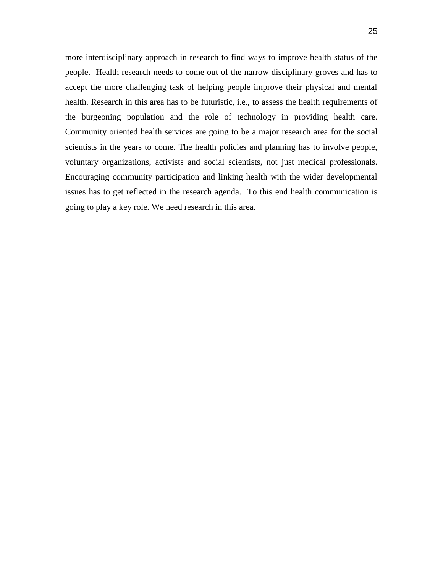more interdisciplinary approach in research to find ways to improve health status of the people. Health research needs to come out of the narrow disciplinary groves and has to accept the more challenging task of helping people improve their physical and mental health. Research in this area has to be futuristic, i.e., to assess the health requirements of the burgeoning population and the role of technology in providing health care. Community oriented health services are going to be a major research area for the social scientists in the years to come. The health policies and planning has to involve people, voluntary organizations, activists and social scientists, not just medical professionals. Encouraging community participation and linking health with the wider developmental issues has to get reflected in the research agenda. To this end health communication is going to play a key role. We need research in this area.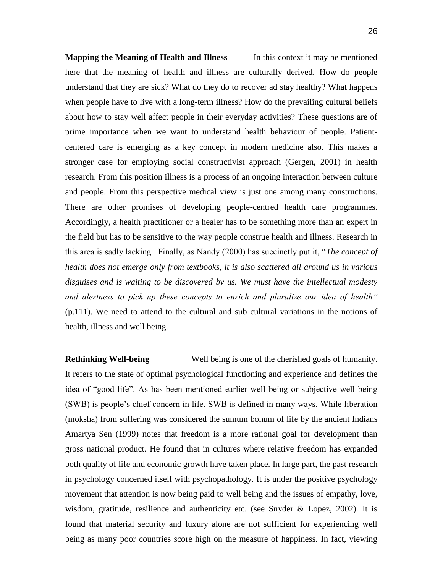**Mapping the Meaning of Health and Illness** In this context it may be mentioned here that the meaning of health and illness are culturally derived. How do people understand that they are sick? What do they do to recover ad stay healthy? What happens when people have to live with a long-term illness? How do the prevailing cultural beliefs about how to stay well affect people in their everyday activities? These questions are of prime importance when we want to understand health behaviour of people. Patientcentered care is emerging as a key concept in modern medicine also. This makes a stronger case for employing social constructivist approach (Gergen, 2001) in health research. From this position illness is a process of an ongoing interaction between culture and people. From this perspective medical view is just one among many constructions. There are other promises of developing people-centred health care programmes. Accordingly, a health practitioner or a healer has to be something more than an expert in the field but has to be sensitive to the way people construe health and illness. Research in this area is sadly lacking. Finally, as Nandy (2000) has succinctly put it, "*The concept of health does not emerge only from textbooks, it is also scattered all around us in various disguises and is waiting to be discovered by us. We must have the intellectual modesty and alertness to pick up these concepts to enrich and pluralize our idea of health"* (p.111). We need to attend to the cultural and sub cultural variations in the notions of health, illness and well being.

**Rethinking Well-being** Well being is one of the cherished goals of humanity. It refers to the state of optimal psychological functioning and experience and defines the idea of "good life". As has been mentioned earlier well being or subjective well being (SWB) is people"s chief concern in life. SWB is defined in many ways. While liberation (moksha) from suffering was considered the sumum bonum of life by the ancient Indians Amartya Sen (1999) notes that freedom is a more rational goal for development than gross national product. He found that in cultures where relative freedom has expanded both quality of life and economic growth have taken place. In large part, the past research in psychology concerned itself with psychopathology. It is under the positive psychology movement that attention is now being paid to well being and the issues of empathy, love, wisdom, gratitude, resilience and authenticity etc. (see Snyder & Lopez, 2002). It is found that material security and luxury alone are not sufficient for experiencing well being as many poor countries score high on the measure of happiness. In fact, viewing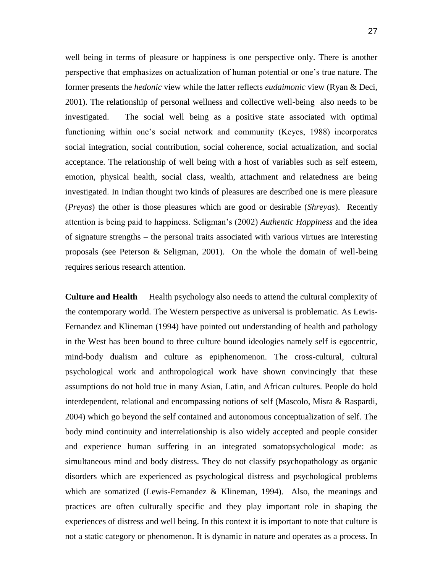well being in terms of pleasure or happiness is one perspective only. There is another perspective that emphasizes on actualization of human potential or one"s true nature. The former presents the *hedonic* view while the latter reflects *eudaimonic* view (Ryan & Deci, 2001). The relationship of personal wellness and collective well-being also needs to be investigated. The social well being as a positive state associated with optimal functioning within one"s social network and community (Keyes, 1988) incorporates social integration, social contribution, social coherence, social actualization, and social acceptance. The relationship of well being with a host of variables such as self esteem, emotion, physical health, social class, wealth, attachment and relatedness are being investigated. In Indian thought two kinds of pleasures are described one is mere pleasure (*Preyas*) the other is those pleasures which are good or desirable (*Shreyas*). Recently attention is being paid to happiness. Seligman"s (2002) *Authentic Happiness* and the idea of signature strengths – the personal traits associated with various virtues are interesting proposals (see Peterson & Seligman, 2001). On the whole the domain of well-being requires serious research attention.

**Culture and Health** Health psychology also needs to attend the cultural complexity of the contemporary world. The Western perspective as universal is problematic. As Lewis-Fernandez and Klineman (1994) have pointed out understanding of health and pathology in the West has been bound to three culture bound ideologies namely self is egocentric, mind-body dualism and culture as epiphenomenon. The cross-cultural, cultural psychological work and anthropological work have shown convincingly that these assumptions do not hold true in many Asian, Latin, and African cultures. People do hold interdependent, relational and encompassing notions of self (Mascolo, Misra & Raspardi, 2004) which go beyond the self contained and autonomous conceptualization of self. The body mind continuity and interrelationship is also widely accepted and people consider and experience human suffering in an integrated somatopsychological mode: as simultaneous mind and body distress. They do not classify psychopathology as organic disorders which are experienced as psychological distress and psychological problems which are somatized (Lewis-Fernandez & Klineman, 1994). Also, the meanings and practices are often culturally specific and they play important role in shaping the experiences of distress and well being. In this context it is important to note that culture is not a static category or phenomenon. It is dynamic in nature and operates as a process. In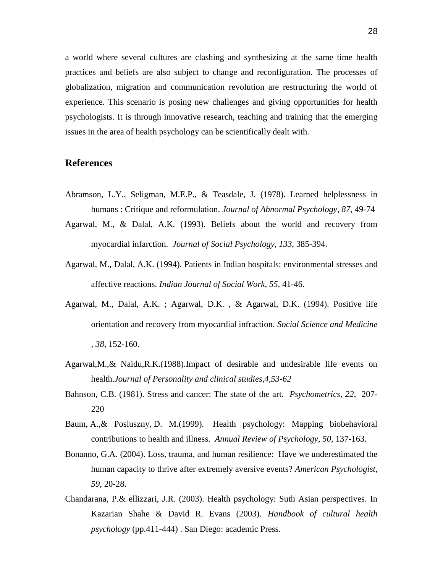a world where several cultures are clashing and synthesizing at the same time health practices and beliefs are also subject to change and reconfiguration. The processes of globalization, migration and communication revolution are restructuring the world of experience. This scenario is posing new challenges and giving opportunities for health psychologists. It is through innovative research, teaching and training that the emerging issues in the area of health psychology can be scientifically dealt with.

### **References**

- Abramson, L.Y., Seligman, M.E.P., & Teasdale, J. (1978). Learned helplessness in humans : Critique and reformulation. *Journal of Abnormal Psychology, 87*, 49-74
- Agarwal, M., & Dalal, A.K. (1993). Beliefs about the world and recovery from myocardial infarction. *Journal of Social Psychology*, *133*, 385-394.
- Agarwal, M., Dalal, A.K. (1994). Patients in Indian hospitals: environmental stresses and affective reactions. *Indian Journal of Social Work, 55,* 41-46.
- Agarwal, M., Dalal, A.K. ; Agarwal, D.K. , & Agarwal, D.K. (1994). Positive life orientation and recovery from myocardial infraction. *Social Science and Medicine , 38,* 152-160.
- Agarwal,M.,& Naidu,R.K.(1988).Impact of desirable and undesirable life events on health.*Journal of Personality and clinical studies,4,53-62*
- Bahnson, C.B. (1981). Stress and cancer: The state of the art. *Psychometrics, 22*, 207- 220
- Baum, A.,& Posluszny, D. M.(1999). Health psychology: Mapping biobehavioral contributions to health and illness. *Annual Review of Psychology, 50,* 137-163.
- Bonanno, G.A. (2004). Loss, trauma, and human resilience: Have we underestimated the human capacity to thrive after extremely aversive events? *American Psychologist, 59*, 20-28.
- Chandarana, P.& ellizzari, J.R. (2003). Health psychology: Suth Asian perspectives. In Kazarian Shahe & David R. Evans (2003). *Handbook of cultural health psychology* (pp.411-444) . San Diego: academic Press.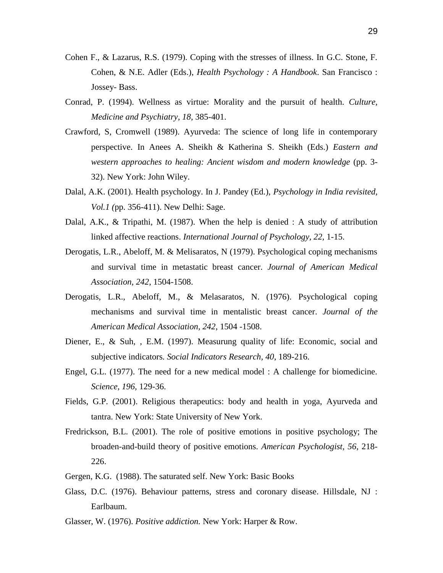- Cohen F., & Lazarus, R.S. (1979). Coping with the stresses of illness. In G.C. Stone, F. Cohen, & N.E. Adler (Eds.), *Health Psychology : A Handbook*. San Francisco : Jossey- Bass.
- Conrad, P. (1994). Wellness as virtue: Morality and the pursuit of health. *Culture, Medicine and Psychiatry, 18*, 385-401.
- Crawford, S, Cromwell (1989). Ayurveda: The science of long life in contemporary perspective. In Anees A. Sheikh & Katherina S. Sheikh (Eds.) *Eastern and western approaches to healing: Ancient wisdom and modern knowledge* (pp. 3- 32). New York: John Wiley.
- Dalal, A.K. (2001). Health psychology. In J. Pandey (Ed.), *Psychology in India revisited, Vol.1 (*pp. 356-411). New Delhi: Sage.
- Dalal, A.K., & Tripathi, M. (1987). When the help is denied : A study of attribution linked affective reactions. *International Journal of Psychology, 22,* 1-15.
- Derogatis, L.R., Abeloff, M. & Melisaratos, N (1979). Psychological coping mechanisms and survival time in metastatic breast cancer. *Journal of American Medical Association, 242*, 1504-1508.
- Derogatis, L.R., Abeloff, M., & Melasaratos, N. (1976). Psychological coping mechanisms and survival time in mentalistic breast cancer. *Journal of the American Medical Association, 242*, 1504 -1508.
- Diener, E., & Suh, , E.M. (1997). Measurung quality of life: Economic, social and subjective indicators*. Social Indicators Research, 40*, 189-216.
- Engel, G.L. (1977). The need for a new medical model : A challenge for biomedicine. *Science, 196,* 129-36.
- Fields, G.P. (2001). Religious therapeutics: body and health in yoga, Ayurveda and tantra. New York: State University of New York.
- Fredrickson, B.L. (2001). The role of positive emotions in positive psychology; The broaden-and-build theory of positive emotions. *American Psychologist, 56*, 218- 226.
- Gergen, K.G. (1988). The saturated self. New York: Basic Books
- Glass, D.C. (1976). Behaviour patterns, stress and coronary disease. Hillsdale, NJ : Earlbaum.
- Glasser, W. (1976). *Positive addiction.* New York: Harper & Row.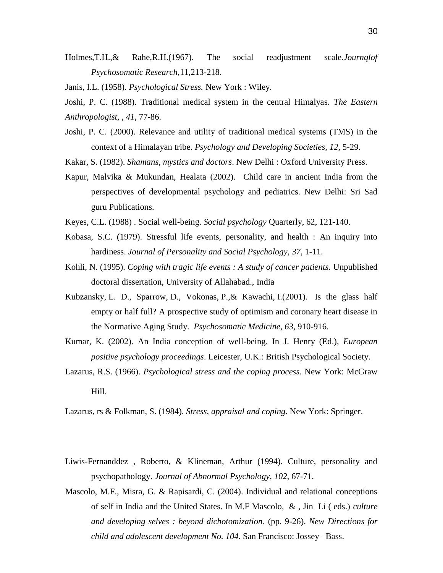- Holmes,T.H.,& Rahe,R.H.(1967). The social readjustment scale.*Journqlof Psychosomatic Research,*11,213-218.
- Janis, I.L. (1958). *Psychological Stress.* New York : Wiley.

Joshi, P. C. (1988). Traditional medical system in the central Himalyas. *The Eastern Anthropologist, , 41*, 77-86.

- Joshi, P. C. (2000). Relevance and utility of traditional medical systems (TMS) in the context of a Himalayan tribe. *Psychology and Developing Societies, 12,* 5-29.
- Kakar, S. (1982). *Shamans, mystics and doctors*. New Delhi : Oxford University Press.
- Kapur, Malvika & Mukundan, Healata (2002). Child care in ancient India from the perspectives of developmental psychology and pediatrics. New Delhi: Sri Sad guru Publications.
- Keyes, C.L. (1988) . Social well-being. *Social psychology* Quarterly, 62, 121-140.
- Kobasa, S.C. (1979). Stressful life events, personality, and health : An inquiry into hardiness. *Journal of Personality and Social Psychology, 37*, 1-11.
- Kohli, N. (1995). *Coping with tragic life events : A study of cancer patients.* Unpublished doctoral dissertation, University of Allahabad., India
- Kubzansky, L. D., Sparrow, D., Vokonas, P.,& Kawachi, I.(2001). Is the glass half empty or half full? A prospective study of optimism and coronary heart disease in the Normative Aging Study. *Psychosomatic Medicine, 63,* 910-916.
- Kumar, K. (2002). An India conception of well-being. In J. Henry (Ed.), *European positive psychology proceedings*. Leicester, U.K.: British Psychological Society.
- Lazarus, R.S. (1966). *Psychological stress and the coping process*. New York: McGraw Hill.
- Lazarus, rs & Folkman, S. (1984). *Stress, appraisal and coping*. New York: Springer.
- Liwis-Fernanddez , Roberto, & Klineman, Arthur (1994). Culture, personality and psychopathology. *Journal of Abnormal Psychology, 102*, 67-71.
- Mascolo, M.F., Misra, G. & Rapisardi, C. (2004). Individual and relational conceptions of self in India and the United States. In M.F Mascolo, & , Jin Li ( eds.) *culture and developing selves : beyond dichotomization*. (pp. 9-26). *New Directions for child and adolescent development No. 104.* San Francisco: Jossey –Bass.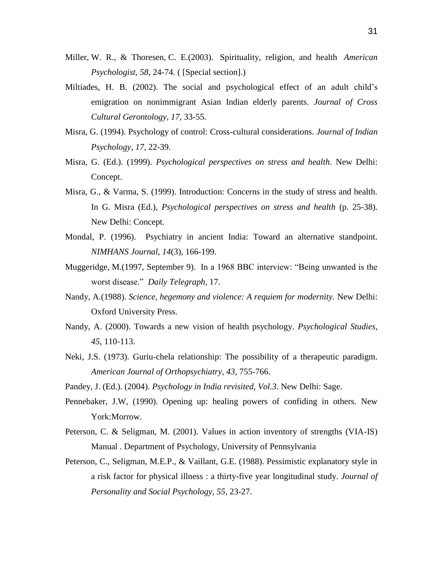- Miller, W. R., & Thoresen, C. E.(2003). Spirituality, religion, and health *American Psychologist, 58,* 24-74. ( [Special section].)
- Miltiades, H. B. (2002). The social and psychological effect of an adult child"s emigration on nonimmigrant Asian Indian elderly parents. *Journal of Cross Cultural Gerontology, 17,* 33-55.
- Misra, G. (1994). Psychology of control: Cross-cultural considerations. *Journal of Indian Psychology, 17*, 22-39.
- Misra, G. (Ed.). (1999). *Psychological perspectives on stress and health*. New Delhi: Concept.
- Misra, G., & Varma, S. (1999). Introduction: Concerns in the study of stress and health. In G. Misra (Ed.), *Psychological perspectives on stress and health* (p. 25-38). New Delhi: Concept.
- Mondal, P. (1996). Psychiatry in ancient India: Toward an alternative standpoint. *NIMHANS Journal, 14*(3), 166-199.
- Muggeridge, M.(1997, September 9). In a 1968 BBC interview: "Being unwanted is the worst disease." *Daily Telegraph,* 17.
- Nandy, A.(1988). *Science, hegemony and violence: A requiem for modernity.* New Delhi: Oxford University Press.
- Nandy, A. (2000). Towards a new vision of health psychology. *Psychological Studies, 45*, 110-113.
- Neki, J.S. (1973). Guriu-chela relationship: The possibility of a therapeutic paradigm. *American Journal of Orthopsychiatry, 43*, 755-766.
- Pandey, J. (Ed.). (2004). *Psychology in India revisited, Vol.3*. New Delhi: Sage.
- Pennebaker, J.W, (1990). Opening up: healing powers of confiding in others. New York:Morrow.
- Peterson, C. & Seligman, M. (2001). Values in action inventory of strengths (VIA-IS) Manual . Department of Psychology, University of Pennsylvania
- Peterson, C., Seligman, M.E.P., & Vaillant, G.E. (1988). Pessimistic explanatory style in a risk factor for physical illness : a thirty-five year longitudinal study. *Journal of Personality and Social Psychology, 55,* 23-27.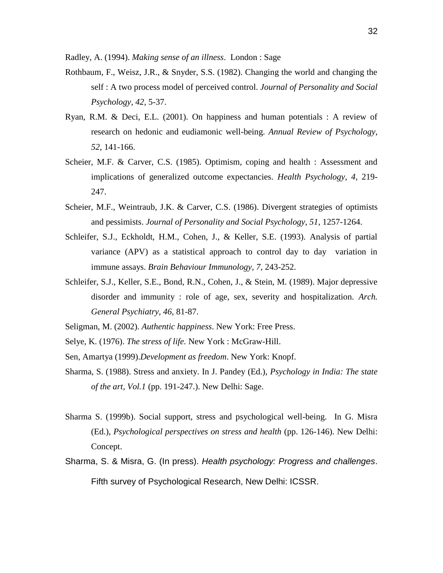Radley, A. (1994). *Making sense of an illness*. London : Sage

- Rothbaum, F., Weisz, J.R., & Snyder, S.S. (1982). Changing the world and changing the self : A two process model of perceived control. *Journal of Personality and Social Psychology, 42,* 5-37.
- Ryan, R.M. & Deci, E.L. (2001). On happiness and human potentials : A review of research on hedonic and eudiamonic well-being. *Annual Review of Psychology*, *52*, 141-166.
- Scheier, M.F. & Carver, C.S. (1985). Optimism, coping and health : Assessment and implications of generalized outcome expectancies. *Health Psychology, 4*, 219- 247.
- Scheier, M.F., Weintraub, J.K. & Carver, C.S. (1986). Divergent strategies of optimists and pessimists. *Journal of Personality and Social Psychology, 51*, 1257-1264.
- Schleifer, S.J., Eckholdt, H.M., Cohen, J., & Keller, S.E. (1993). Analysis of partial variance (APV) as a statistical approach to control day to day variation in immune assays. *Brain Behaviour Immunology, 7,* 243-252.
- Schleifer, S.J., Keller, S.E., Bond, R.N., Cohen, J., & Stein, M. (1989). Major depressive disorder and immunity : role of age, sex, severity and hospitalization. *Arch. General Psychiatry, 46,* 81-87.
- Seligman, M. (2002). *Authentic happiness*. New York: Free Press.
- Selye, K. (1976). *The stress of life.* New York : McGraw-Hill.
- Sen, Amartya (1999).*Development as freedom*. New York: Knopf.
- Sharma, S. (1988). Stress and anxiety. In J. Pandey (Ed.), *Psychology in India: The state of the art, Vol.1* (pp. 191-247.). New Delhi: Sage.
- Sharma S. (1999b). Social support, stress and psychological well-being. In G. Misra (Ed.), *Psychological perspectives on stress and health* (pp. 126-146). New Delhi: Concept.
- Sharma, S. & Misra, G. (In press). *Health psychology: Progress and challenges*. Fifth survey of Psychological Research, New Delhi: ICSSR.